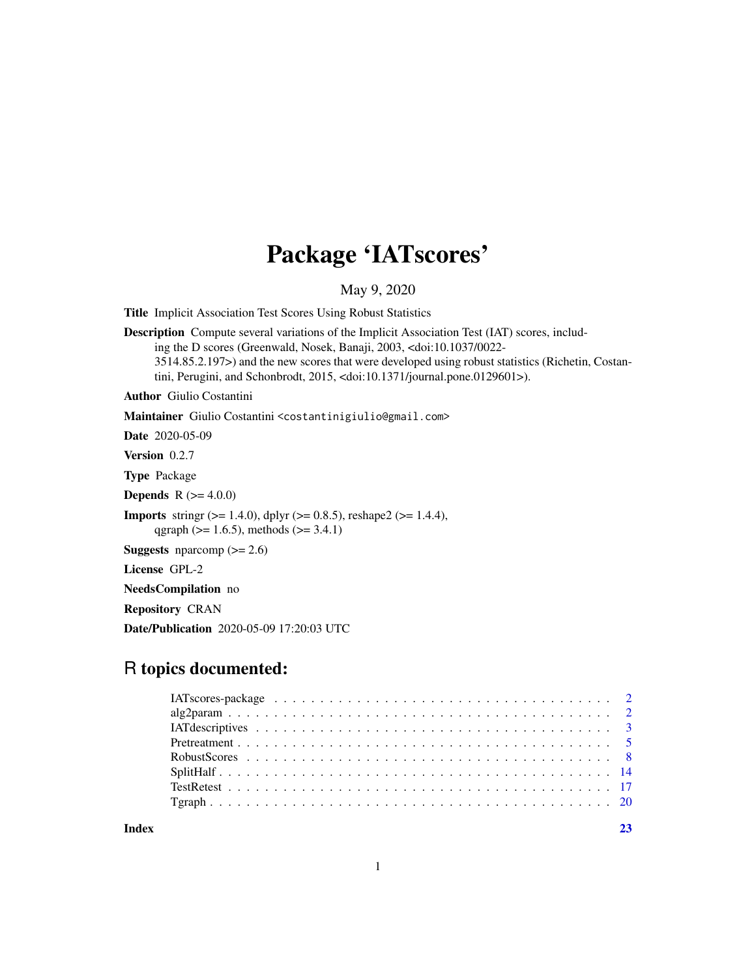## Package 'IATscores'

May 9, 2020

<span id="page-0-0"></span>Title Implicit Association Test Scores Using Robust Statistics

Description Compute several variations of the Implicit Association Test (IAT) scores, including the D scores (Greenwald, Nosek, Banaji, 2003, <doi:10.1037/0022- 3514.85.2.197>) and the new scores that were developed using robust statistics (Richetin, Costantini, Perugini, and Schonbrodt, 2015, <doi:10.1371/journal.pone.0129601>).

Author Giulio Costantini

Maintainer Giulio Costantini <costantinigiulio@gmail.com>

Date 2020-05-09

Version 0.2.7

Type Package

**Depends**  $R (= 4.0.0)$ 

**Imports** stringr ( $> = 1.4.0$ ), dplyr ( $> = 0.8.5$ ), reshape2 ( $> = 1.4.4$ ), qgraph ( $> = 1.6.5$ ), methods ( $> = 3.4.1$ )

**Suggests** nparcomp  $(>= 2.6)$ 

License GPL-2

NeedsCompilation no

Repository CRAN

Date/Publication 2020-05-09 17:20:03 UTC

## R topics documented:

| Index |  |
|-------|--|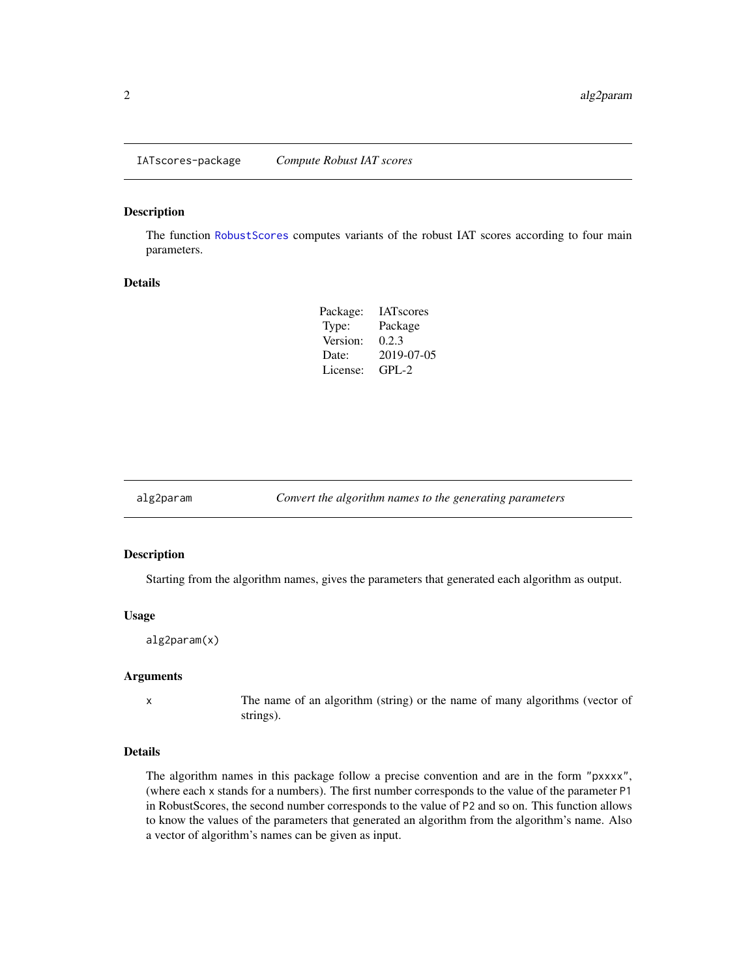<span id="page-1-0"></span>IATscores-package *Compute Robust IAT scores*

#### Description

The function [RobustScores](#page-7-1) computes variants of the robust IAT scores according to four main parameters.

#### Details

| Package: | <b>IAT</b> scores |
|----------|-------------------|
| Type:    | Package           |
| Version: | 0.2.3             |
| Date:    | 2019-07-05        |
| License: | $GPI - 2$         |

<span id="page-1-1"></span>alg2param *Convert the algorithm names to the generating parameters*

#### Description

Starting from the algorithm names, gives the parameters that generated each algorithm as output.

#### Usage

alg2param(x)

#### Arguments

x The name of an algorithm (string) or the name of many algorithms (vector of strings).

#### Details

The algorithm names in this package follow a precise convention and are in the form "pxxxx", (where each x stands for a numbers). The first number corresponds to the value of the parameter P1 in RobustScores, the second number corresponds to the value of P2 and so on. This function allows to know the values of the parameters that generated an algorithm from the algorithm's name. Also a vector of algorithm's names can be given as input.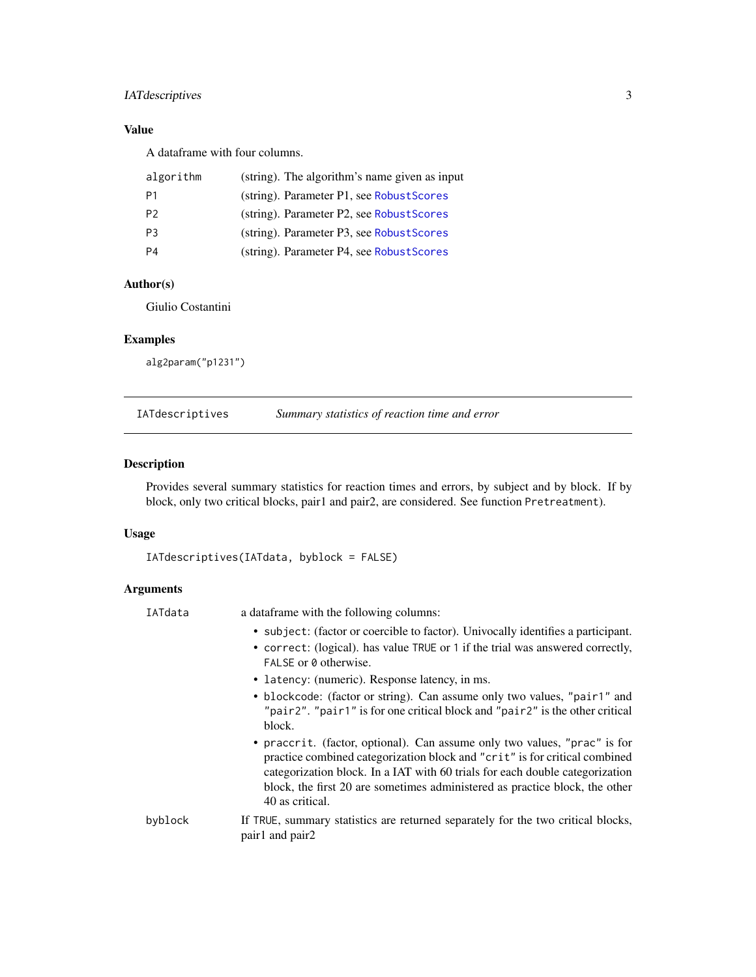## <span id="page-2-0"></span>IATdescriptives 3

## Value

A dataframe with four columns.

| algorithm      | (string). The algorithm's name given as input |
|----------------|-----------------------------------------------|
| P1             | (string). Parameter P1, see Robust Scores     |
| P <sub>2</sub> | (string). Parameter P2, see Robust Scores     |
| P <sub>3</sub> | (string). Parameter P3, see Robust Scores     |
| P4             | (string). Parameter P4, see Robust Scores     |

## Author(s)

Giulio Costantini

## Examples

alg2param("p1231")

IATdescriptives *Summary statistics of reaction time and error*

## Description

Provides several summary statistics for reaction times and errors, by subject and by block. If by block, only two critical blocks, pair1 and pair2, are considered. See function Pretreatment).

## Usage

```
IATdescriptives(IATdata, byblock = FALSE)
```
## Arguments

| IATdata | a data frame with the following columns:                                                                                                                                                                                                                                                                                                  |
|---------|-------------------------------------------------------------------------------------------------------------------------------------------------------------------------------------------------------------------------------------------------------------------------------------------------------------------------------------------|
|         | • subject: (factor or coercible to factor). Univocally identifies a participant.<br>• correct: (logical). has value TRUE or 1 if the trial was answered correctly,<br>FALSE or 0 otherwise.                                                                                                                                               |
|         | • latency: (numeric). Response latency, in ms.                                                                                                                                                                                                                                                                                            |
|         | • blockcode: (factor or string). Can assume only two values, "pair1" and<br>"pair2". "pair1" is for one critical block and "pair2" is the other critical<br>block.                                                                                                                                                                        |
|         | • praccrit. (factor, optional). Can assume only two values, "prac" is for<br>practice combined categorization block and "crit" is for critical combined<br>categorization block. In a IAT with 60 trials for each double categorization<br>block, the first 20 are sometimes administered as practice block, the other<br>40 as critical. |
| byblock | If TRUE, summary statistics are returned separately for the two critical blocks,<br>pair1 and pair2                                                                                                                                                                                                                                       |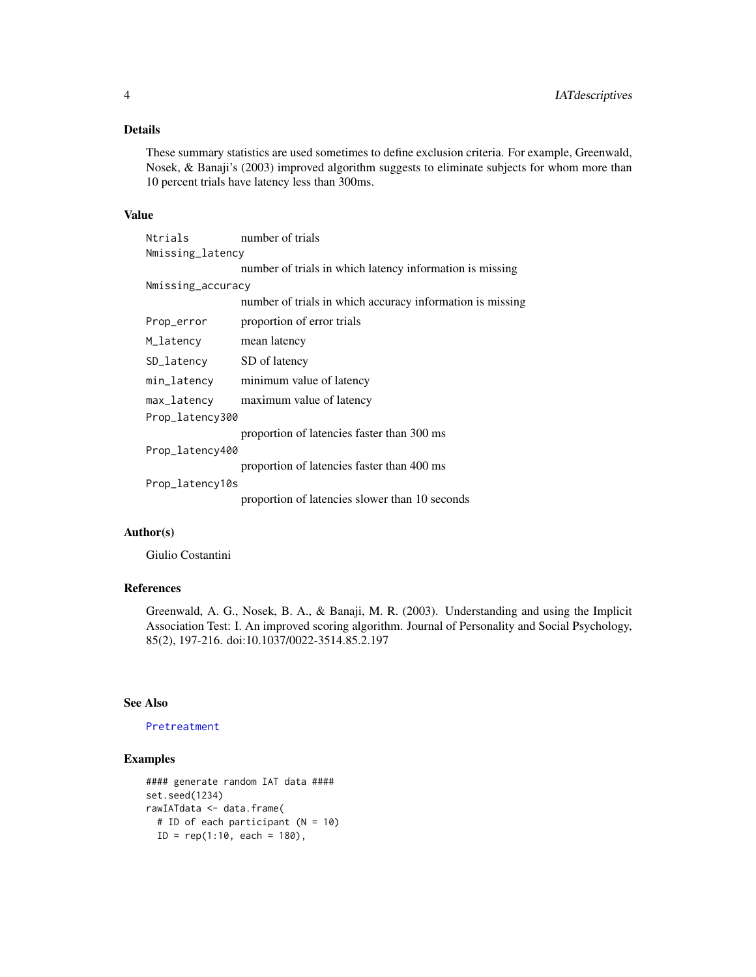## <span id="page-3-0"></span>Details

These summary statistics are used sometimes to define exclusion criteria. For example, Greenwald, Nosek, & Banaji's (2003) improved algorithm suggests to eliminate subjects for whom more than 10 percent trials have latency less than 300ms.

#### Value

| Ntrials           | number of trials                                          |
|-------------------|-----------------------------------------------------------|
| Nmissing_latency  |                                                           |
|                   | number of trials in which latency information is missing  |
| Nmissing_accuracy |                                                           |
|                   | number of trials in which accuracy information is missing |
| Prop_error        | proportion of error trials                                |
| M_latency         | mean latency                                              |
| SD_latency        | SD of latency                                             |
| min_latency       | minimum value of latency                                  |
| max_latency       | maximum value of latency                                  |
| Prop_latency300   |                                                           |
|                   | proportion of latencies faster than 300 ms                |
| Prop_latency400   |                                                           |
|                   | proportion of latencies faster than 400 ms                |
| Prop_latency10s   |                                                           |
|                   | proportion of latencies slower than 10 seconds            |

## Author(s)

Giulio Costantini

## References

Greenwald, A. G., Nosek, B. A., & Banaji, M. R. (2003). Understanding and using the Implicit Association Test: I. An improved scoring algorithm. Journal of Personality and Social Psychology, 85(2), 197-216. doi:10.1037/0022-3514.85.2.197

## See Also

[Pretreatment](#page-4-1)

```
#### generate random IAT data ####
set.seed(1234)
rawIATdata <- data.frame(
  # ID of each participant (N = 10)
  ID = rep(1:10, each = 180),
```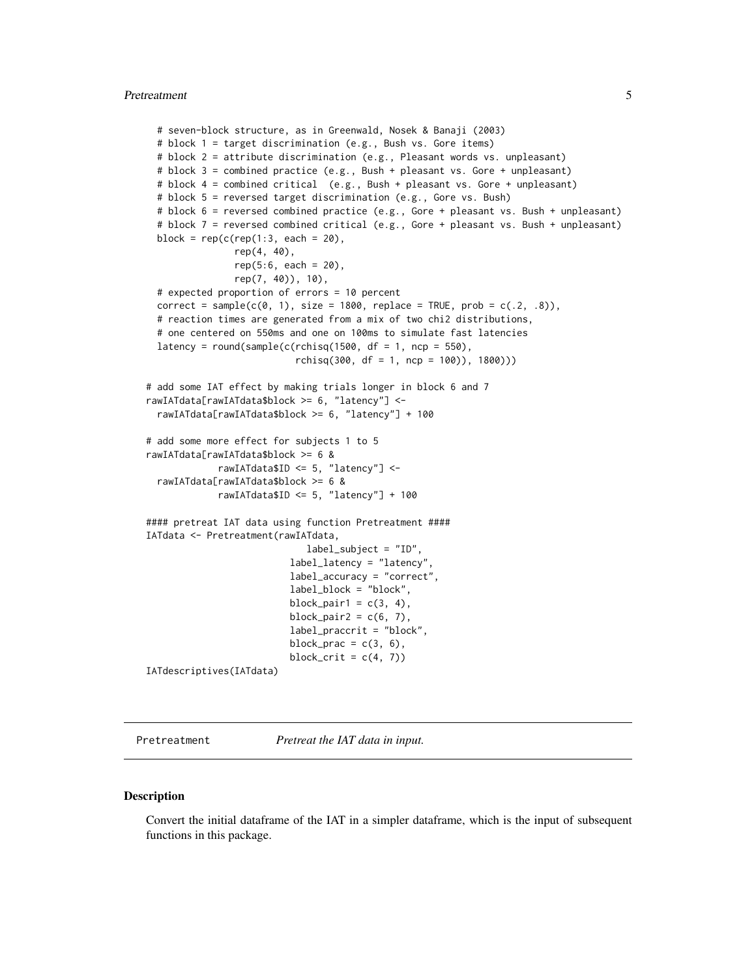#### <span id="page-4-0"></span>Pretreatment 5

```
# seven-block structure, as in Greenwald, Nosek & Banaji (2003)
 # block 1 = target discrimination (e.g., Bush vs. Gore items)
 # block 2 = attribute discrimination (e.g., Pleasant words vs. unpleasant)
 # block 3 = combined practice (e.g., Bush + pleasant vs. Gore + unpleasant)
 # block 4 = combined critical (e.g., Bush + pleasant vs. Gore + unpleasant)
 # block 5 = reversed target discrimination (e.g., Gore vs. Bush)
 # block 6 = reversed combined practice (e.g., Gore + pleasant vs. Bush + unpleasant)
 # block 7 = reversed combined critical (e.g., Gore + pleasant vs. Bush + unpleasant)
 block = rep(c(rep(1:3, each = 20)),rep(4, 40),
                rep(5:6, each = 20),
               rep(7, 40)), 10),
 # expected proportion of errors = 10 percent
 correct = sample(c(0, 1), size = 1800, replace = TRUE, prob = c(.2, .8)),# reaction times are generated from a mix of two chi2 distributions,
 # one centered on 550ms and one on 100ms to simulate fast latencies
 latency = round(sample(c(rchisq(1500, df = 1, ncp = 550),
                           rchisq(300, df = 1, ncp = 100), 1800)))
# add some IAT effect by making trials longer in block 6 and 7
rawIATdata[rawIATdata$block >= 6, "latency"] <-
 rawIATdata[rawIATdata$block >= 6, "latency"] + 100
# add some more effect for subjects 1 to 5
rawIATdata[rawIATdata$block >= 6 &
            rawIATdata$ID <= 5, "latency"] <-
 rawIATdata[rawIATdata$block >= 6 &
            rawIATdata$ID <= 5, "latency"] + 100
#### pretreat IAT data using function Pretreatment ####
IATdata <- Pretreatment(rawIATdata,
                             label_subject = "ID",
                          label_latency = "latency",
                          label_accuracy = "correct",
                          label_block = "block",
                          block_pair1 = c(3, 4),
                          block_pair2 = c(6, 7),
                          label_praccrit = "block",
                          block_prac = c(3, 6),
                          block_crit = c(4, 7))
IATdescriptives(IATdata)
```
<span id="page-4-1"></span>Pretreatment *Pretreat the IAT data in input.*

#### **Description**

Convert the initial dataframe of the IAT in a simpler dataframe, which is the input of subsequent functions in this package.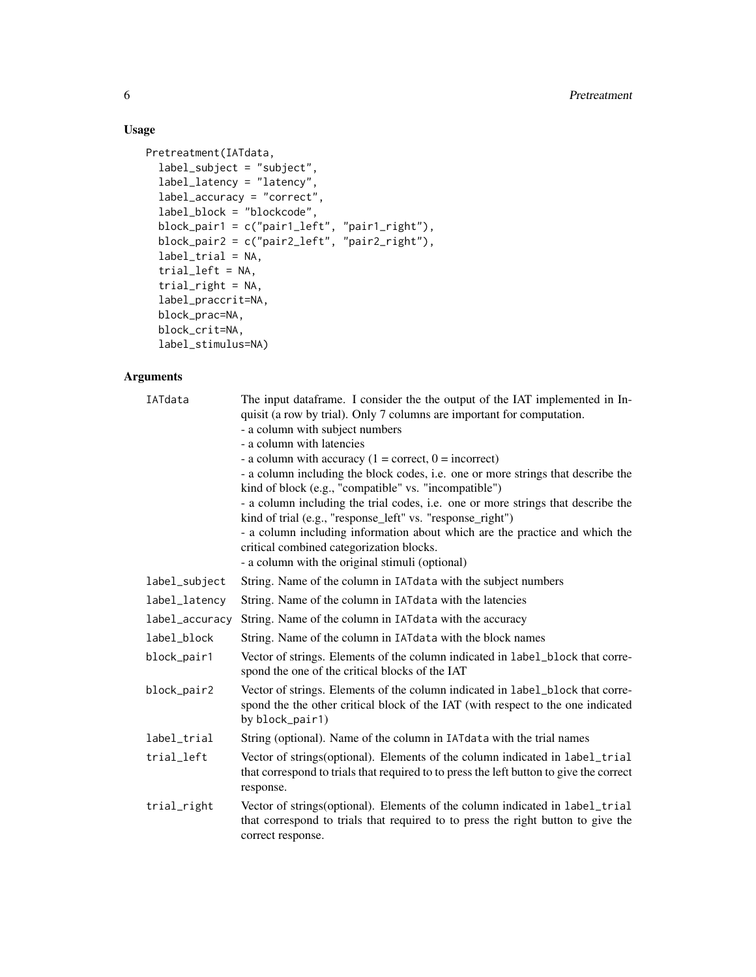## Usage

```
Pretreatment(IATdata,
 label_subject = "subject",
 label_latency = "latency",
 label_accuracy = "correct",
 label_block = "blockcode",
  block_pair1 = c("pair1_left", "pair1_right"),
  block_pair2 = c("pair2_left", "pair2_right"),
 label\_trial = NA,trial_left = NA,
  trial_right = NA,
 label_praccrit=NA,
 block_prac=NA,
 block_crit=NA,
 label_stimulus=NA)
```
## Arguments

| IATdata        | The input dataframe. I consider the the output of the IAT implemented in In-<br>quisit (a row by trial). Only 7 columns are important for computation.<br>- a column with subject numbers<br>- a column with latencies<br>- a column with accuracy $(1 = correct, 0 = incorrect)$<br>- a column including the block codes, i.e. one or more strings that describe the<br>kind of block (e.g., "compatible" vs. "incompatible")<br>- a column including the trial codes, i.e. one or more strings that describe the<br>kind of trial (e.g., "response_left" vs. "response_right")<br>- a column including information about which are the practice and which the |
|----------------|-----------------------------------------------------------------------------------------------------------------------------------------------------------------------------------------------------------------------------------------------------------------------------------------------------------------------------------------------------------------------------------------------------------------------------------------------------------------------------------------------------------------------------------------------------------------------------------------------------------------------------------------------------------------|
|                | critical combined categorization blocks.<br>- a column with the original stimuli (optional)                                                                                                                                                                                                                                                                                                                                                                                                                                                                                                                                                                     |
| label_subject  | String. Name of the column in IAT data with the subject numbers                                                                                                                                                                                                                                                                                                                                                                                                                                                                                                                                                                                                 |
| label_latency  | String. Name of the column in IAT data with the latencies                                                                                                                                                                                                                                                                                                                                                                                                                                                                                                                                                                                                       |
| label_accuracy | String. Name of the column in IAT data with the accuracy                                                                                                                                                                                                                                                                                                                                                                                                                                                                                                                                                                                                        |
| label_block    | String. Name of the column in IAT data with the block names                                                                                                                                                                                                                                                                                                                                                                                                                                                                                                                                                                                                     |
| block_pair1    | Vector of strings. Elements of the column indicated in label_block that corre-<br>spond the one of the critical blocks of the IAT                                                                                                                                                                                                                                                                                                                                                                                                                                                                                                                               |
| block_pair2    | Vector of strings. Elements of the column indicated in label_block that corre-<br>spond the the other critical block of the IAT (with respect to the one indicated<br>by block_pair1)                                                                                                                                                                                                                                                                                                                                                                                                                                                                           |
| label_trial    | String (optional). Name of the column in IAT data with the trial names                                                                                                                                                                                                                                                                                                                                                                                                                                                                                                                                                                                          |
| trial_left     | Vector of strings(optional). Elements of the column indicated in label_trial<br>that correspond to trials that required to to press the left button to give the correct<br>response.                                                                                                                                                                                                                                                                                                                                                                                                                                                                            |
| trial_right    | Vector of strings (optional). Elements of the column indicated in label_trial<br>that correspond to trials that required to to press the right button to give the<br>correct response.                                                                                                                                                                                                                                                                                                                                                                                                                                                                          |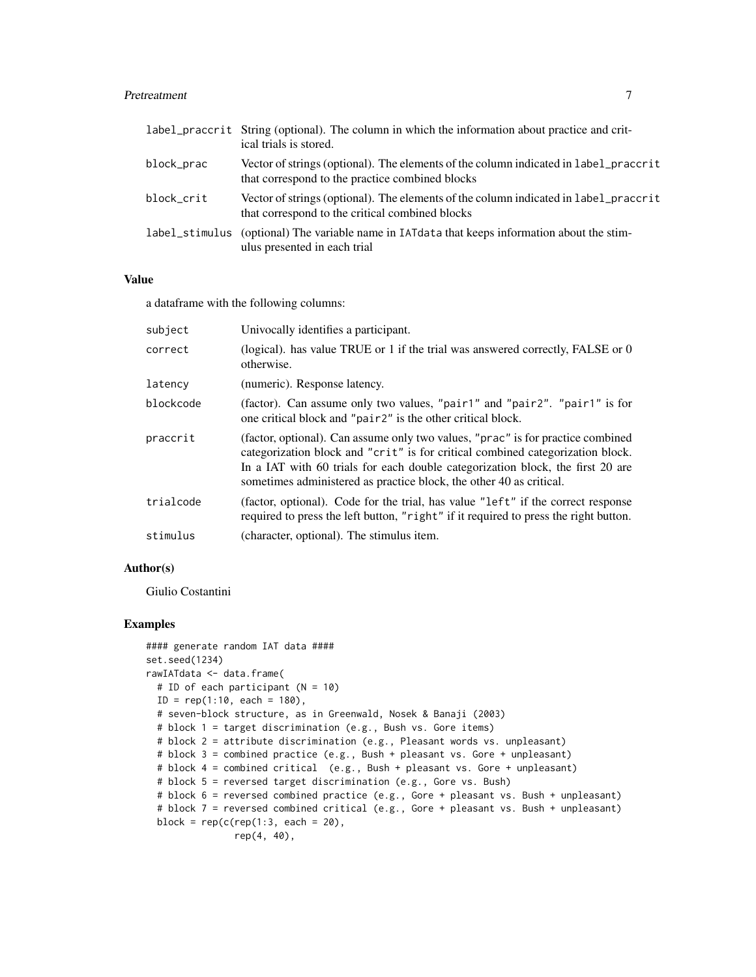#### Pretreatment 7 and 7 and 7 and 7 and 7 and 7 and 7 and 7 and 7 and 7 and 7 and 7 and 7 and 7 and 7 and 7 and 7 and 7 and 7 and 7 and 7 and 7 and 7 and 7 and 7 and 7 and 7 and 7 and 7 and 7 and 7 and 7 and 7 and 7 and 7 and

|            | label_praccrit String (optional). The column in which the information about practice and crit-<br>ical trials is stored.                |
|------------|-----------------------------------------------------------------------------------------------------------------------------------------|
| block_prac | Vector of strings (optional). The elements of the column indicated in label_praccrit<br>that correspond to the practice combined blocks |
| block_crit | Vector of strings (optional). The elements of the column indicated in label_praccrit<br>that correspond to the critical combined blocks |
|            | label_stimulus (optional) The variable name in IAT data that keeps information about the stim-<br>ulus presented in each trial          |

## Value

a dataframe with the following columns:

| subject   | Univocally identifies a participant.                                                                                                                                                                                                                                                                                       |
|-----------|----------------------------------------------------------------------------------------------------------------------------------------------------------------------------------------------------------------------------------------------------------------------------------------------------------------------------|
| correct   | (logical). has value TRUE or 1 if the trial was answered correctly, FALSE or 0<br>otherwise.                                                                                                                                                                                                                               |
| latency   | (numeric). Response latency.                                                                                                                                                                                                                                                                                               |
| blockcode | (factor). Can assume only two values, "pair1" and "pair2". "pair1" is for<br>one critical block and "pair2" is the other critical block.                                                                                                                                                                                   |
| praccrit  | (factor, optional). Can assume only two values, "prac" is for practice combined<br>categorization block and "crit" is for critical combined categorization block.<br>In a IAT with 60 trials for each double categorization block, the first 20 are<br>sometimes administered as practice block, the other 40 as critical. |
| trialcode | (factor, optional). Code for the trial, has value "left" if the correct response<br>required to press the left button, "right" if it required to press the right button.                                                                                                                                                   |
| stimulus  | (character, optional). The stimulus item.                                                                                                                                                                                                                                                                                  |

#### Author(s)

Giulio Costantini

```
#### generate random IAT data ####
set.seed(1234)
rawIATdata <- data.frame(
  # ID of each participant (N = 10)
  ID = rep(1:10, each = 180),
  # seven-block structure, as in Greenwald, Nosek & Banaji (2003)
  # block 1 = target discrimination (e.g., Bush vs. Gore items)
  # block 2 = attribute discrimination (e.g., Pleasant words vs. unpleasant)
  # block 3 = combined practice (e.g., Bush + pleasant vs. Gore + unpleasant)
  # block 4 = combined critical (e.g., Bush + pleasant vs. Gore + unpleasant)
  # block 5 = reversed target discrimination (e.g., Gore vs. Bush)
  # block 6 = reversed combined practice (e.g., Gore + pleasant vs. Bush + unpleasant)
  # block 7 = reversed combined critical (e.g., Gore + pleasant vs. Bush + unpleasant)
  block = rep(c(rep(1:3, each = 20)),rep(4, 40),
```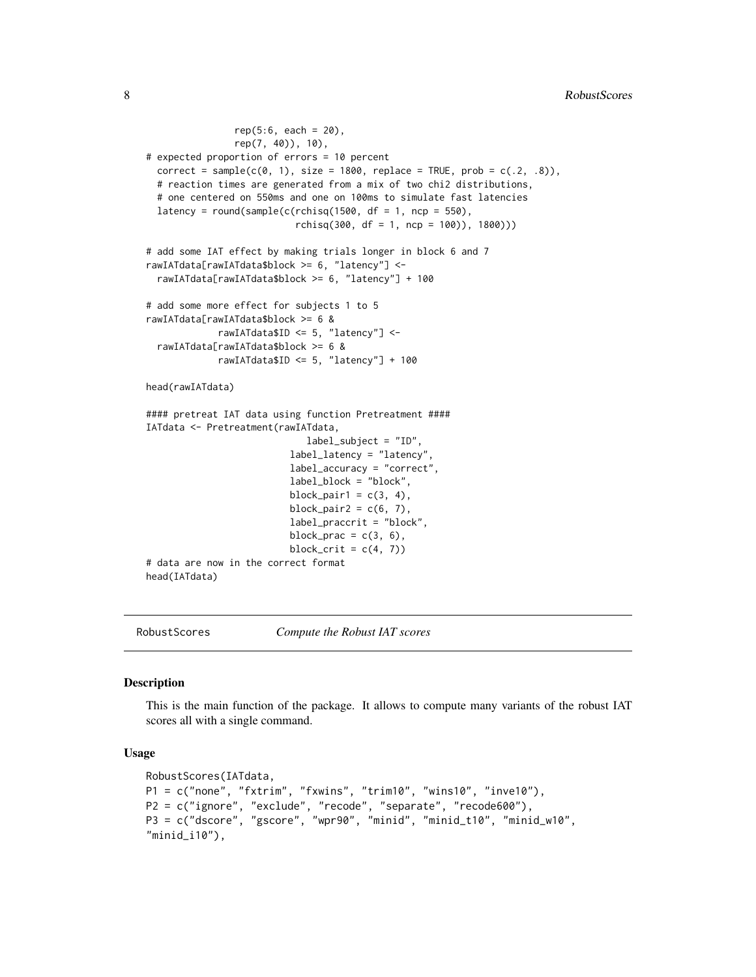```
rep(5:6, each = 20),
                rep(7, 40)), 10),
# expected proportion of errors = 10 percent
 correct = sample(c(0, 1), size = 1800, replace = TRUE, prob = c(.2, .8)),# reaction times are generated from a mix of two chi2 distributions,
 # one centered on 550ms and one on 100ms to simulate fast latencies
 latency = round(sample(c(rchisq(1500, df = 1, ncp = 550)),rchisq(300, df = 1, ncp = 100)), 1800)))
# add some IAT effect by making trials longer in block 6 and 7
rawIATdata[rawIATdata$block >= 6, "latency"] <-
 rawIATdata[rawIATdata$block >= 6, "latency"] + 100
# add some more effect for subjects 1 to 5
rawIATdata[rawIATdata$block >= 6 &
             rawIATdata$ID <= 5, "latency"] <-
 rawIATdata[rawIATdata$block >= 6 &
             rawIATdata$ID <= 5, "latency"] + 100
head(rawIATdata)
#### pretreat IAT data using function Pretreatment ####
IATdata <- Pretreatment(rawIATdata,
                             label_subject = "ID",
                          label_latency = "latency",
                          label_accuracy = "correct",
                          label_block = "block",
                          block_pair1 = c(3, 4),
                          block_pair2 = c(6, 7),
                          label_praccrit = "block",
                          block_prac = c(3, 6),
                          block_crit = c(4, 7))
# data are now in the correct format
head(IATdata)
```
<span id="page-7-1"></span>

RobustScores *Compute the Robust IAT scores*

#### Description

This is the main function of the package. It allows to compute many variants of the robust IAT scores all with a single command.

#### Usage

```
RobustScores(IATdata,
P1 = c("none", "fxtrim", "fxwins", "trim10", "wins10", "inve10"),
P2 = c("ignore", "exclude", "recode", "separate", "recode600"),
P3 = c("dscore", "gscore", "wpr90", "minid", "minid_t10", "minid_w10",
"minid_i10"),
```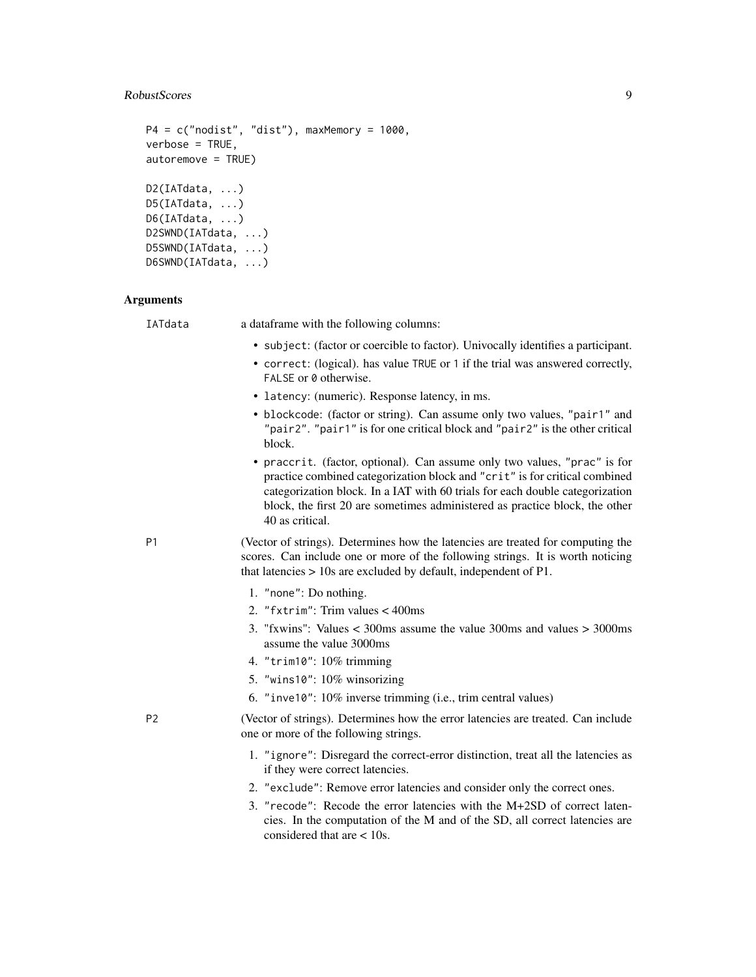## RobustScores 9

```
P4 = c("nodist", "dist"), maxMemory = 1000,
verbose = TRUE,
autoremove = TRUE)
D2(IATdata, ...)
D5(IATdata, ...)
D6(IATdata, ...)
D2SWND(IATdata, ...)
D5SWND(IATdata, ...)
D6SWND(IATdata, ...)
```
## Arguments

| IATdata        | a dataframe with the following columns:                                                                                                                                                                                                                                                                                                   |
|----------------|-------------------------------------------------------------------------------------------------------------------------------------------------------------------------------------------------------------------------------------------------------------------------------------------------------------------------------------------|
|                | • subject: (factor or coercible to factor). Univocally identifies a participant.                                                                                                                                                                                                                                                          |
|                | • correct: (logical). has value TRUE or 1 if the trial was answered correctly,<br>FALSE or 0 otherwise.                                                                                                                                                                                                                                   |
|                | • latency: (numeric). Response latency, in ms.                                                                                                                                                                                                                                                                                            |
|                | • blockcode: (factor or string). Can assume only two values, "pair1" and<br>"pair2". "pair1" is for one critical block and "pair2" is the other critical<br>block.                                                                                                                                                                        |
|                | • praccrit. (factor, optional). Can assume only two values, "prac" is for<br>practice combined categorization block and "crit" is for critical combined<br>categorization block. In a IAT with 60 trials for each double categorization<br>block, the first 20 are sometimes administered as practice block, the other<br>40 as critical. |
| P <sub>1</sub> | (Vector of strings). Determines how the latencies are treated for computing the<br>scores. Can include one or more of the following strings. It is worth noticing<br>that latencies $> 10s$ are excluded by default, independent of P1.                                                                                                   |
|                | 1. "none": Do nothing.                                                                                                                                                                                                                                                                                                                    |
|                | 2. "fxtrim": Trim values < 400ms                                                                                                                                                                                                                                                                                                          |
|                | 3. "fxwins": Values $\lt$ 300ms assume the value 300ms and values $>$ 3000ms<br>assume the value 3000ms                                                                                                                                                                                                                                   |
|                | 4. "trim10": 10% trimming                                                                                                                                                                                                                                                                                                                 |
|                | 5. "wins10": 10% winsorizing                                                                                                                                                                                                                                                                                                              |
|                | 6. "inve10": 10% inverse trimming (i.e., trim central values)                                                                                                                                                                                                                                                                             |
| P <sub>2</sub> | (Vector of strings). Determines how the error latencies are treated. Can include<br>one or more of the following strings.                                                                                                                                                                                                                 |
|                | 1. "ignore": Disregard the correct-error distinction, treat all the latencies as<br>if they were correct latencies.                                                                                                                                                                                                                       |
|                | 2. "exclude": Remove error latencies and consider only the correct ones.                                                                                                                                                                                                                                                                  |
|                | 3. "recode": Recode the error latencies with the M+2SD of correct laten-<br>cies. In the computation of the M and of the SD, all correct latencies are<br>considered that are $< 10$ s.                                                                                                                                                   |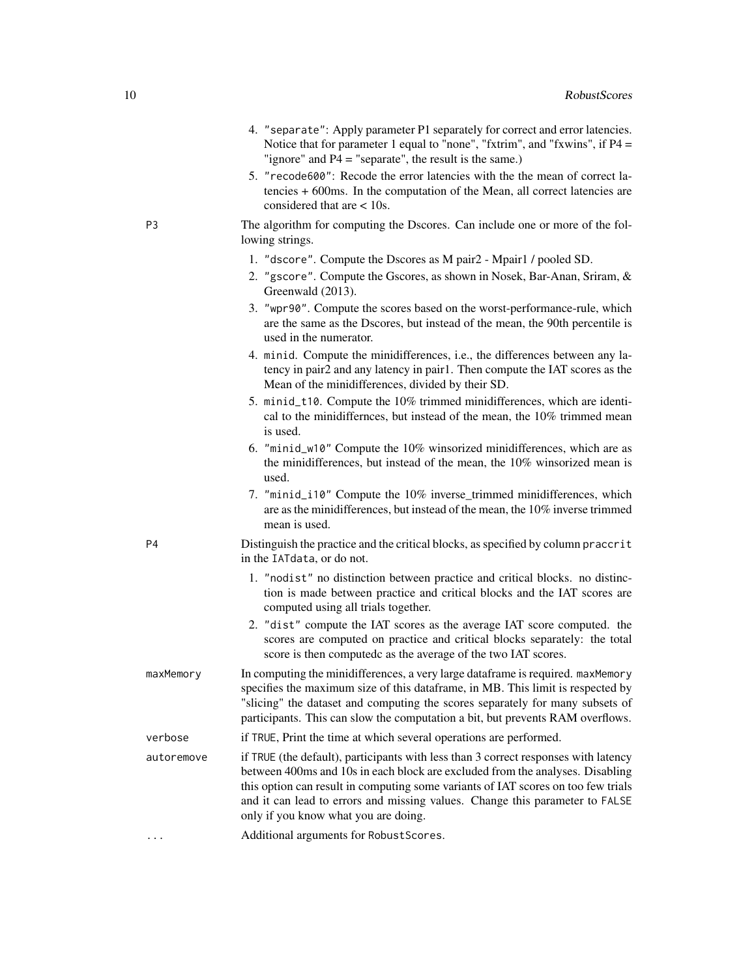- 4. "separate": Apply parameter P1 separately for correct and error latencies. Notice that for parameter 1 equal to "none", "fxtrim", and "fxwins", if P4 = "ignore" and P4 = "separate", the result is the same.)
- 5. "recode600": Recode the error latencies with the the mean of correct latencies + 600ms. In the computation of the Mean, all correct latencies are considered that are < 10s.
- P3 The algorithm for computing the Dscores. Can include one or more of the following strings.
	- 1. "dscore". Compute the Dscores as M pair2 Mpair1 / pooled SD.
	- 2. "gscore". Compute the Gscores, as shown in Nosek, Bar-Anan, Sriram, & Greenwald (2013).
	- 3. "wpr90". Compute the scores based on the worst-performance-rule, which are the same as the Dscores, but instead of the mean, the 90th percentile is used in the numerator.
	- 4. minid. Compute the minidifferences, i.e., the differences between any latency in pair2 and any latency in pair1. Then compute the IAT scores as the Mean of the minidifferences, divided by their SD.
	- 5. minid\_t10. Compute the 10% trimmed minidifferences, which are identical to the minidiffernces, but instead of the mean, the 10% trimmed mean is used.
	- 6. "minid\_w10" Compute the 10% winsorized minidifferences, which are as the minidifferences, but instead of the mean, the 10% winsorized mean is used.
	- 7. "minid\_i10" Compute the 10% inverse trimmed minidifferences, which are as the minidifferences, but instead of the mean, the 10% inverse trimmed mean is used.
- P4 Distinguish the practice and the critical blocks, as specified by column praccrit in the IATdata, or do not.
	- 1. "nodist" no distinction between practice and critical blocks. no distinction is made between practice and critical blocks and the IAT scores are computed using all trials together.
	- 2. "dist" compute the IAT scores as the average IAT score computed. the scores are computed on practice and critical blocks separately: the total score is then computedc as the average of the two IAT scores.
- maxMemory In computing the minidifferences, a very large dataframe is required. maxMemory specifies the maximum size of this dataframe, in MB. This limit is respected by "slicing" the dataset and computing the scores separately for many subsets of participants. This can slow the computation a bit, but prevents RAM overflows.
- verbose if TRUE, Print the time at which several operations are performed.
- autoremove if TRUE (the default), participants with less than 3 correct responses with latency between 400ms and 10s in each block are excluded from the analyses. Disabling this option can result in computing some variants of IAT scores on too few trials and it can lead to errors and missing values. Change this parameter to FALSE only if you know what you are doing.
- ... Additional arguments for RobustScores.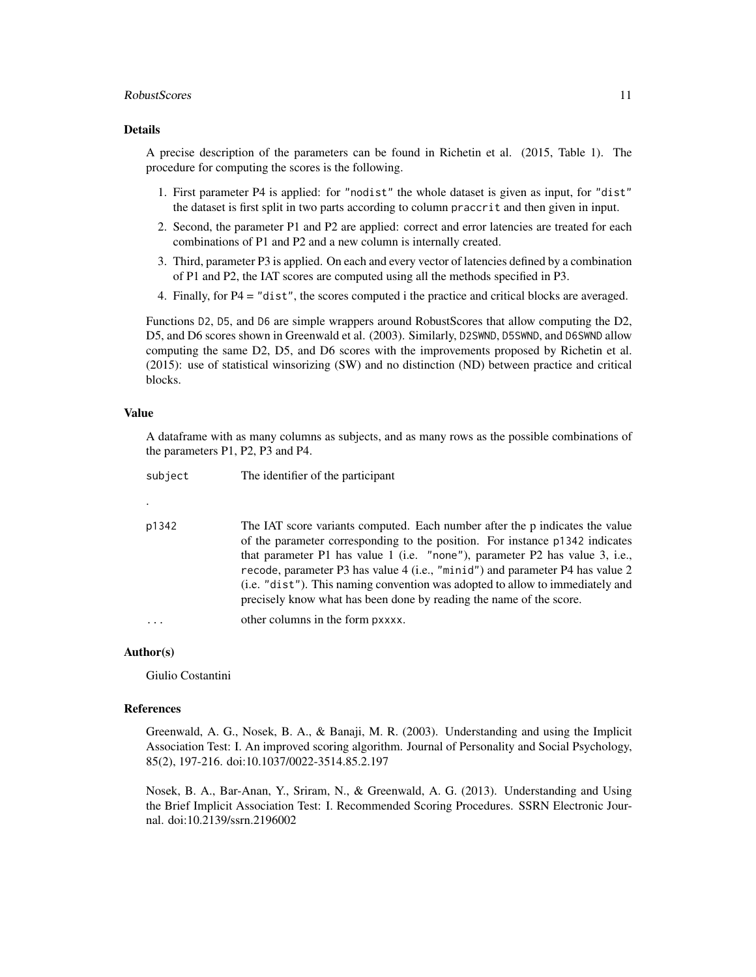#### RobustScores 11

#### Details

A precise description of the parameters can be found in Richetin et al. (2015, Table 1). The procedure for computing the scores is the following.

- 1. First parameter P4 is applied: for "nodist" the whole dataset is given as input, for "dist" the dataset is first split in two parts according to column praccrit and then given in input.
- 2. Second, the parameter P1 and P2 are applied: correct and error latencies are treated for each combinations of P1 and P2 and a new column is internally created.
- 3. Third, parameter P3 is applied. On each and every vector of latencies defined by a combination of P1 and P2, the IAT scores are computed using all the methods specified in P3.
- 4. Finally, for P4 = "dist", the scores computed i the practice and critical blocks are averaged.

Functions D2, D5, and D6 are simple wrappers around RobustScores that allow computing the D2, D5, and D6 scores shown in Greenwald et al. (2003). Similarly, D2SWND, D5SWND, and D6SWND allow computing the same D2, D5, and D6 scores with the improvements proposed by Richetin et al. (2015): use of statistical winsorizing (SW) and no distinction (ND) between practice and critical blocks.

#### Value

A dataframe with as many columns as subjects, and as many rows as the possible combinations of the parameters P1, P2, P3 and P4.

| subject | The identifier of the participant                                                                                                                                                                                                                                                                                                                                                                                                                                                     |
|---------|---------------------------------------------------------------------------------------------------------------------------------------------------------------------------------------------------------------------------------------------------------------------------------------------------------------------------------------------------------------------------------------------------------------------------------------------------------------------------------------|
|         |                                                                                                                                                                                                                                                                                                                                                                                                                                                                                       |
| p1342   | The IAT score variants computed. Each number after the p indicates the value<br>of the parameter corresponding to the position. For instance p1342 indicates<br>that parameter P1 has value 1 (i.e. "none"), parameter P2 has value 3, i.e.,<br>recode, parameter P3 has value 4 (i.e., "minid") and parameter P4 has value 2<br>(i.e. "dist"). This naming convention was adopted to allow to immediately and<br>precisely know what has been done by reading the name of the score. |
| .       | other columns in the form pxxxx.                                                                                                                                                                                                                                                                                                                                                                                                                                                      |
|         |                                                                                                                                                                                                                                                                                                                                                                                                                                                                                       |

#### Author(s)

Giulio Costantini

#### References

Greenwald, A. G., Nosek, B. A., & Banaji, M. R. (2003). Understanding and using the Implicit Association Test: I. An improved scoring algorithm. Journal of Personality and Social Psychology, 85(2), 197-216. doi:10.1037/0022-3514.85.2.197

Nosek, B. A., Bar-Anan, Y., Sriram, N., & Greenwald, A. G. (2013). Understanding and Using the Brief Implicit Association Test: I. Recommended Scoring Procedures. SSRN Electronic Journal. doi:10.2139/ssrn.2196002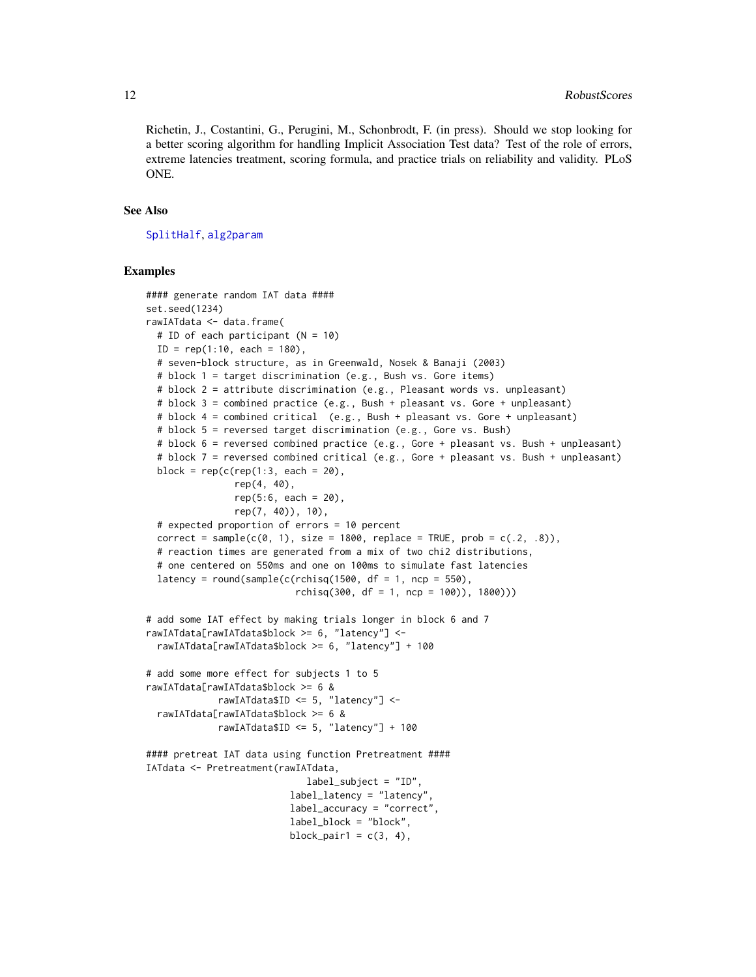<span id="page-11-0"></span>Richetin, J., Costantini, G., Perugini, M., Schonbrodt, F. (in press). Should we stop looking for a better scoring algorithm for handling Implicit Association Test data? Test of the role of errors, extreme latencies treatment, scoring formula, and practice trials on reliability and validity. PLoS ONE.

#### See Also

[SplitHalf](#page-13-1), [alg2param](#page-1-1)

```
#### generate random IAT data ####
set.seed(1234)
rawIATdata <- data.frame(
 # ID of each participant (N = 10)
 ID = rep(1:10, each = 180),
 # seven-block structure, as in Greenwald, Nosek & Banaji (2003)
 # block 1 = target discrimination (e.g., Bush vs. Gore items)
 # block 2 = attribute discrimination (e.g., Pleasant words vs. unpleasant)
 # block 3 = combined practice (e.g., Bush + pleasant vs. Gore + unpleasant)
 # block 4 = combined critical (e.g., Bush + pleasant vs. Gore + unpleasant)
 # block 5 = reversed target discrimination (e.g., Gore vs. Bush)
 # block 6 = reversed combined practice (e.g., Gore + pleasant vs. Bush + unpleasant)
 # block 7 = reversed combined critical (e.g., Gore + pleasant vs. Bush + unpleasant)
 block = rep(c(rep(1:3, each = 20)),rep(4, 40),
                rep(5:6, each = 20),
                rep(7, 40)), 10),
 # expected proportion of errors = 10 percent
 correct = sample(c(\emptyset, 1), size = 1800, replace = TRUE, prob = c(.2, .8)),
 # reaction times are generated from a mix of two chi2 distributions,
  # one centered on 550ms and one on 100ms to simulate fast latencies
 latency = round(sample(c(rchisq(1500, df = 1, ncp = 550),
                           rchisq(300, df = 1, ncp = 100), 1800))
# add some IAT effect by making trials longer in block 6 and 7
rawIATdata[rawIATdata$block >= 6, "latency"] <-
 rawIATdata[rawIATdata$block >= 6, "latency"] + 100
# add some more effect for subjects 1 to 5
rawIATdata[rawIATdata$block >= 6 &
             rawIATdata$ID <= 5, "latency"] <-
 rawIATdata[rawIATdata$block >= 6 &
             rawIATdata$ID <= 5, "latency"] + 100
#### pretreat IAT data using function Pretreatment ####
IATdata <- Pretreatment(rawIATdata,
                             label_subject = "ID",
                          label_latency = "latency",
                          label_accuracy = "correct",
                          label_block = "block",
                          block_pair1 = c(3, 4),
```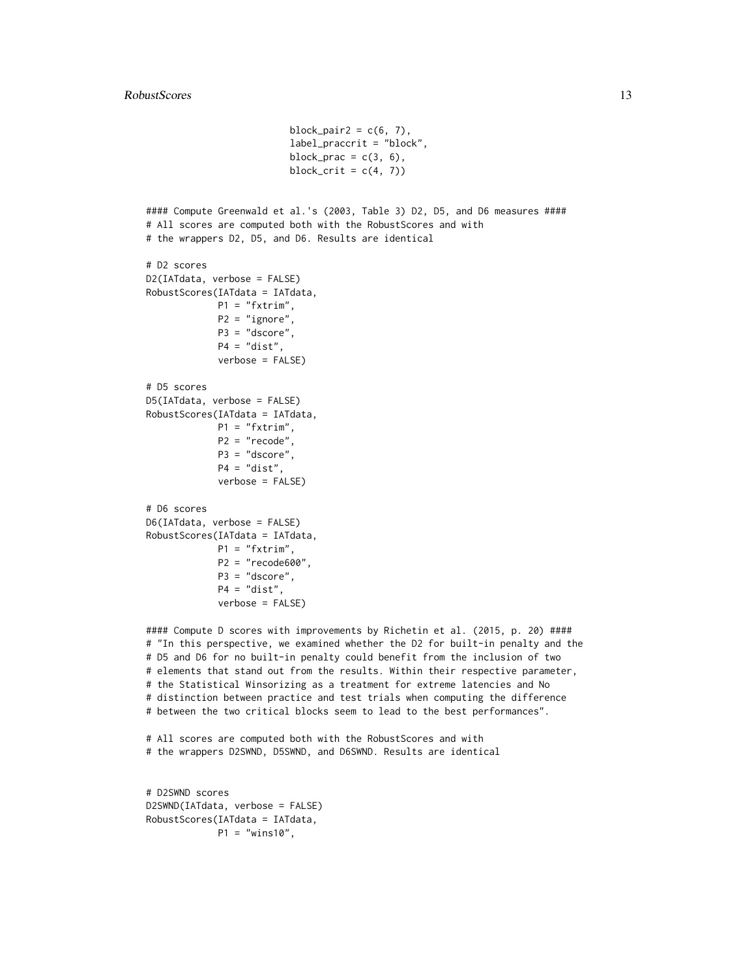```
block_pair2 = c(6, 7),
                          label_praccrit = "block",
                          block_prac = c(3, 6),
                          block_crit = c(4, 7))
#### Compute Greenwald et al.'s (2003, Table 3) D2, D5, and D6 measures ####
# All scores are computed both with the RobustScores and with
# the wrappers D2, D5, and D6. Results are identical
# D2 scores
D2(IATdata, verbose = FALSE)
RobustScores(IATdata = IATdata,
            P1 = "fxtrim",P2 = "ignore",
             P3 = "dscore",
             P4 = "dist",
             verbose = FALSE)
# D5 scores
D5(IATdata, verbose = FALSE)
RobustScores(IATdata = IATdata,
            P1 = "fxtrim",P2 = "recode",
            P3 = "dscore",
             P4 = "dist",verbose = FALSE)
# D6 scores
D6(IATdata, verbose = FALSE)
RobustScores(IATdata = IATdata,
            P1 = "fxtrim",P2 = "recode600",
             P3 = "dscore",
             P4 = "dist",verbose = FALSE)
```
#### Compute D scores with improvements by Richetin et al. (2015, p. 20) #### # "In this perspective, we examined whether the D2 for built-in penalty and the # D5 and D6 for no built-in penalty could benefit from the inclusion of two # elements that stand out from the results. Within their respective parameter, # the Statistical Winsorizing as a treatment for extreme latencies and No # distinction between practice and test trials when computing the difference # between the two critical blocks seem to lead to the best performances".

# All scores are computed both with the RobustScores and with # the wrappers D2SWND, D5SWND, and D6SWND. Results are identical

```
# D2SWND scores
D2SWND(IATdata, verbose = FALSE)
RobustScores(IATdata = IATdata,
            P1 = "wins10",
```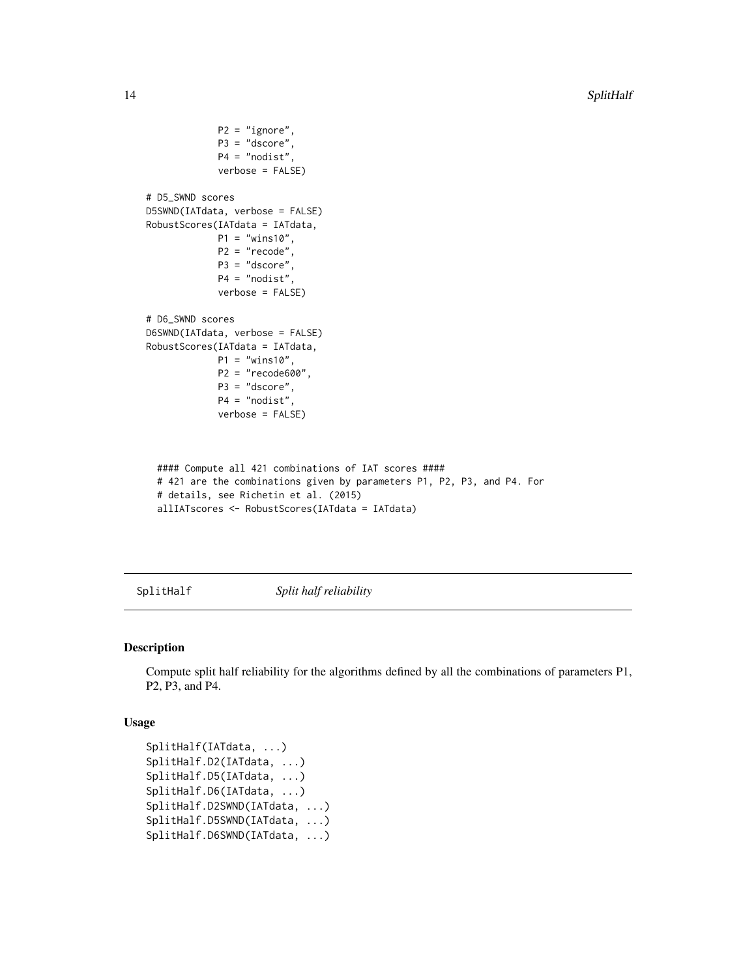```
P2 = "ignore",
            P3 = "dscore",
             P4 = "nodist",
             verbose = FALSE)
# D5_SWND scores
D5SWND(IATdata, verbose = FALSE)
RobustScores(IATdata = IATdata,
            P1 = "wins10",P2 = "recode",
            P3 = "dscore",
            P4 = "nodist",verbose = FALSE)
# D6_SWND scores
D6SWND(IATdata, verbose = FALSE)
RobustScores(IATdata = IATdata,
            P1 = "wins10",P2 = "recode600",
            P3 = "dscore",
            P4 = "nodist",
             verbose = FALSE)
 #### Compute all 421 combinations of IAT scores ####
 # 421 are the combinations given by parameters P1, P2, P3, and P4. For
 # details, see Richetin et al. (2015)
```

```
allIATscores <- RobustScores(IATdata = IATdata)
```
<span id="page-13-1"></span>SplitHalf *Split half reliability*

#### Description

Compute split half reliability for the algorithms defined by all the combinations of parameters P1, P2, P3, and P4.

#### Usage

```
SplitHalf(IATdata, ...)
SplitHalf.D2(IATdata, ...)
SplitHalf.D5(IATdata, ...)
SplitHalf.D6(IATdata, ...)
SplitHalf.D2SWND(IATdata, ...)
SplitHalf.D5SWND(IATdata, ...)
SplitHalf.D6SWND(IATdata, ...)
```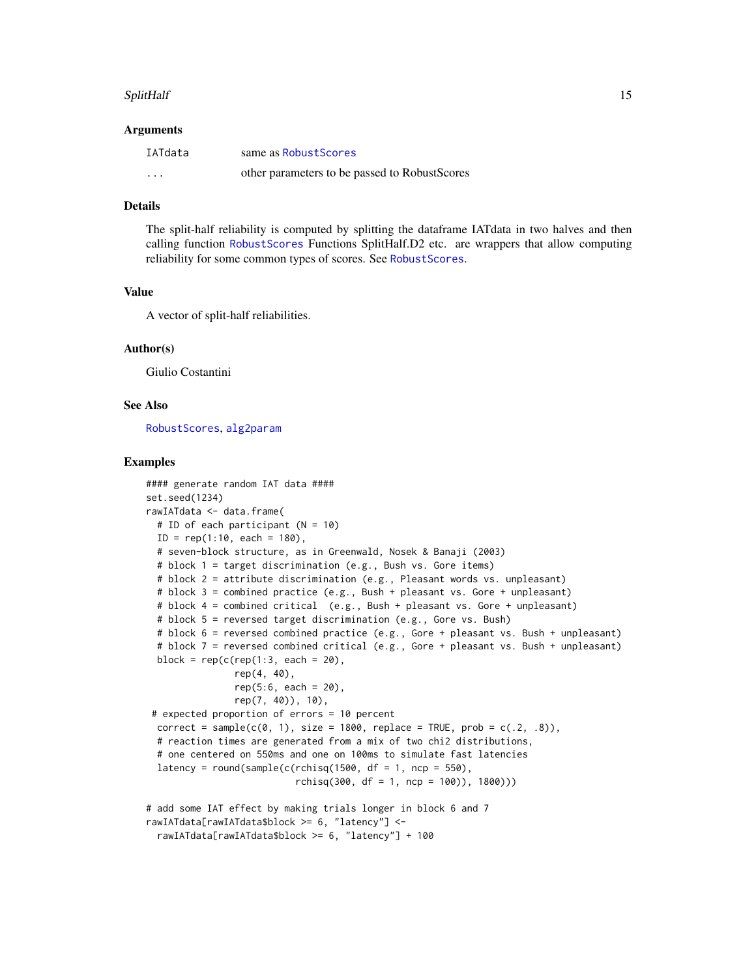#### <span id="page-14-0"></span>SplitHalf 15

#### Arguments

| IATdata  | same as Robust Scores                         |
|----------|-----------------------------------------------|
| $\cdots$ | other parameters to be passed to RobustScores |

## Details

The split-half reliability is computed by splitting the dataframe IATdata in two halves and then calling function [RobustScores](#page-7-1) Functions SplitHalf.D2 etc. are wrappers that allow computing reliability for some common types of scores. See [RobustScores](#page-7-1).

#### Value

A vector of split-half reliabilities.

#### Author(s)

Giulio Costantini

#### See Also

[RobustScores](#page-7-1), [alg2param](#page-1-1)

```
#### generate random IAT data ####
set.seed(1234)
rawIATdata <- data.frame(
 # ID of each participant (N = 10)
 ID = rep(1:10, each = 180),
 # seven-block structure, as in Greenwald, Nosek & Banaji (2003)
 # block 1 = target discrimination (e.g., Bush vs. Gore items)
 # block 2 = attribute discrimination (e.g., Pleasant words vs. unpleasant)
 # block 3 = combined practice (e.g., Bush + pleasant vs. Gore + unpleasant)
 # block 4 = combined critical (e.g., Bush + pleasant vs. Gore + unpleasant)
 # block 5 = reversed target discrimination (e.g., Gore vs. Bush)
 # block 6 = reversed combined practice (e.g., Gore + pleasant vs. Bush + unpleasant)
 # block 7 = reversed combined critical (e.g., Gore + pleasant vs. Bush + unpleasant)
 block = rep(c(rep(1:3, each = 20)),rep(4, 40),
                rep(5:6, each = 20),
               rep(7, 40)), 10),
 # expected proportion of errors = 10 percent
 correct = sample(c(\emptyset, 1), size = 1800, replace = TRUE, prob = c(.2, .8)),
 # reaction times are generated from a mix of two chi2 distributions,
  # one centered on 550ms and one on 100ms to simulate fast latencies
 latency = round(sample(c(rchisq(1500, df = 1, ncp = 550),
                           rchisq(300, df = 1, ncp = 100), 1800))
# add some IAT effect by making trials longer in block 6 and 7
rawIATdata[rawIATdata$block >= 6, "latency"] <-
 rawIATdata[rawIATdata$block >= 6, "latency"] + 100
```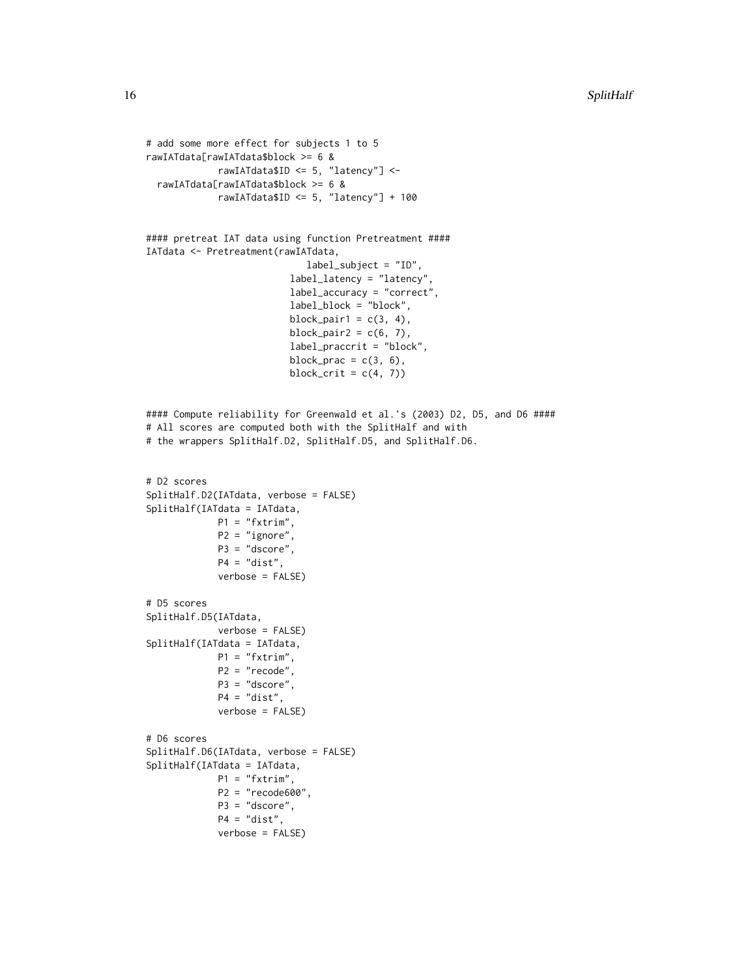```
# add some more effect for subjects 1 to 5
rawIATdata[rawIATdata$block >= 6 &
            rawIATdata$ID <= 5, "latency"] <-
 rawIATdata[rawIATdata$block >= 6 &
             rawIATdata$ID <= 5, "latency"] + 100
#### pretreat IAT data using function Pretreatment ####
IATdata <- Pretreatment(rawIATdata,
                             label_subject = "ID",
                          label_latency = "latency",
                          label_accuracy = "correct",
                          label_block = "block",
                          block_pair1 = c(3, 4),
                          block_pair2 = c(6, 7),
                          label_praccrit = "block",
                          block_prac = c(3, 6),
                          block_crit = c(4, 7))
#### Compute reliability for Greenwald et al.'s (2003) D2, D5, and D6 ####
# All scores are computed both with the SplitHalf and with
# the wrappers SplitHalf.D2, SplitHalf.D5, and SplitHalf.D6.
# D2 scores
SplitHalf.D2(IATdata, verbose = FALSE)
SplitHalf(IATdata = IATdata,
            P1 = "fxtrim",
            P2 = "ignore",
            P3 = "dscore",
            P4 = "dist",verbose = FALSE)
# D5 scores
SplitHalf.D5(IATdata,
             verbose = FALSE)
SplitHalf(IATdata = IATdata,
            P1 = "fxtrim",
             P2 = "recode",
             P3 = "dscore",
             P4 = "dist",
             verbose = FALSE)
# D6 scores
SplitHalf.D6(IATdata, verbose = FALSE)
SplitHalf(IATdata = IATdata,
            P1 = "fxtrim",P2 = "recode600",
            P3 = "dscore",
            P4 = "dist",
             verbose = FALSE)
```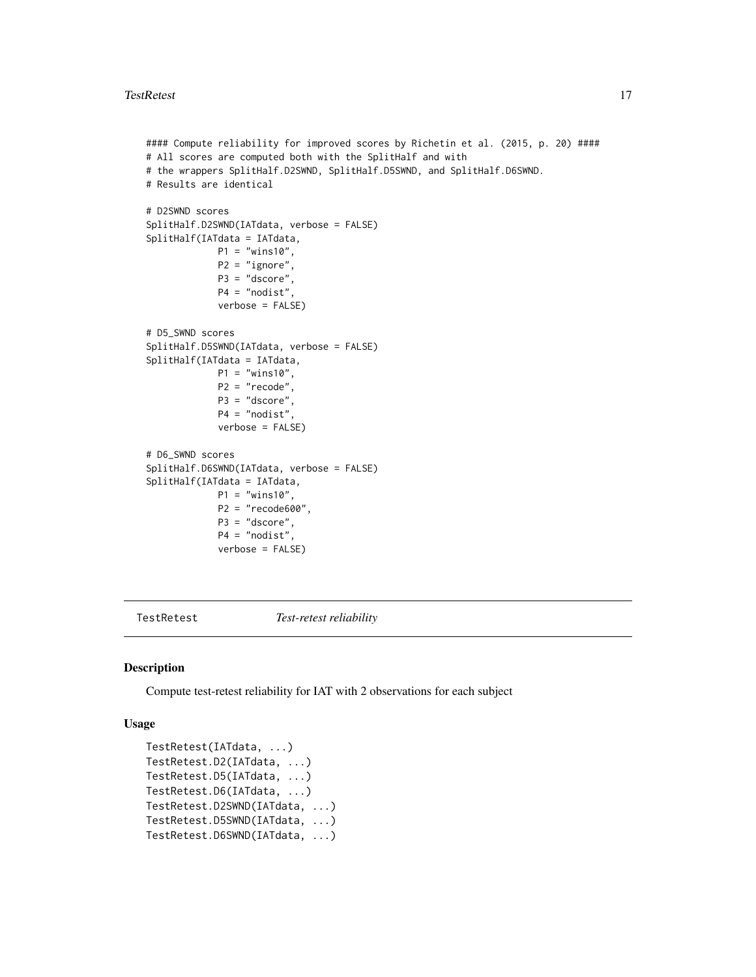```
#### Compute reliability for improved scores by Richetin et al. (2015, p. 20) ####
# All scores are computed both with the SplitHalf and with
# the wrappers SplitHalf.D2SWND, SplitHalf.D5SWND, and SplitHalf.D6SWND.
# Results are identical
# D2SWND scores
SplitHalf.D2SWND(IATdata, verbose = FALSE)
SplitHalf(IATdata = IATdata,
            P1 = "wins10",P2 = "ignore",
            P3 = "dscore",
            P4 = "nodist"
             verbose = FALSE)
# D5_SWND scores
SplitHalf.D5SWND(IATdata, verbose = FALSE)
SplitHalf(IATdata = IATdata,
            P1 = "wins10",P2 = "recode",
            P3 = "dscore",
             P4 = "nodist",
             verbose = FALSE)
# D6_SWND scores
SplitHalf.D6SWND(IATdata, verbose = FALSE)
SplitHalf(IATdata = IATdata,
            P1 = "wins10",P2 = "recode600",
            P3 = "dscore",
             P4 = "nodist",verbose = FALSE)
```
TestRetest *Test-retest reliability*

#### Description

Compute test-retest reliability for IAT with 2 observations for each subject

#### Usage

```
TestRetest(IATdata, ...)
TestRetest.D2(IATdata, ...)
TestRetest.D5(IATdata, ...)
TestRetest.D6(IATdata, ...)
TestRetest.D2SWND(IATdata, ...)
TestRetest.D5SWND(IATdata, ...)
TestRetest.D6SWND(IATdata, ...)
```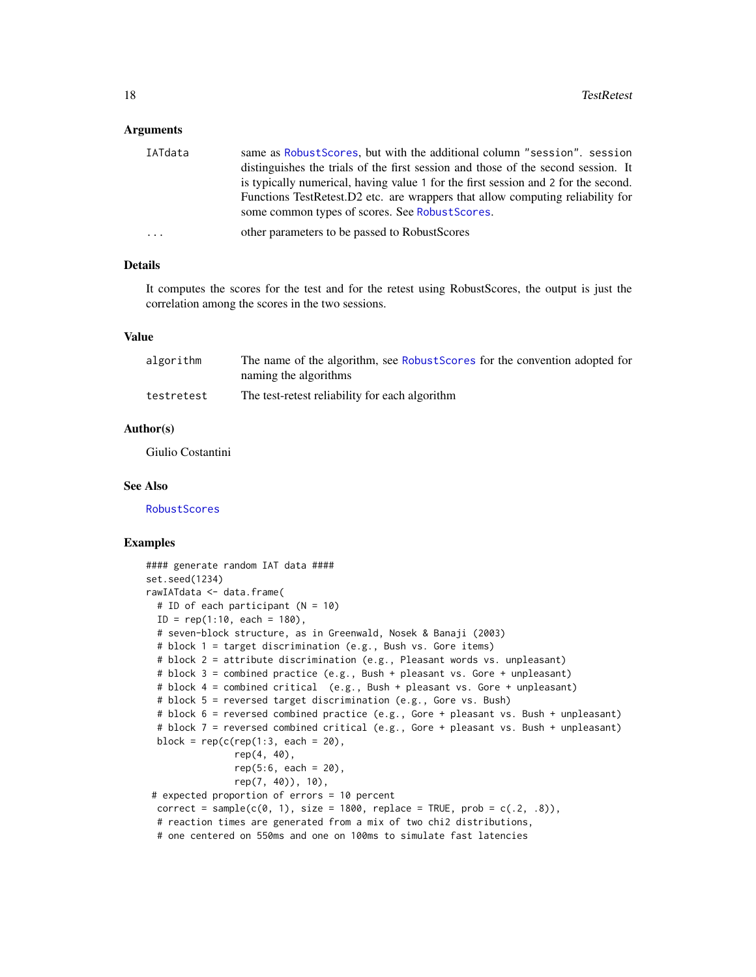#### <span id="page-17-0"></span>Arguments

| IATdata  | same as Robust Scores, but with the additional column "session". session           |
|----------|------------------------------------------------------------------------------------|
|          | distinguishes the trials of the first session and those of the second session. It  |
|          | is typically numerical, having value 1 for the first session and 2 for the second. |
|          | Functions TestRetest.D2 etc. are wrappers that allow computing reliability for     |
|          | some common types of scores. See Robust Scores.                                    |
| $\cdots$ | other parameters to be passed to RobustScores                                      |

#### Details

It computes the scores for the test and for the retest using RobustScores, the output is just the correlation among the scores in the two sessions.

#### Value

| algorithm  | The name of the algorithm, see Robust Scores for the convention adopted for |
|------------|-----------------------------------------------------------------------------|
|            | naming the algorithms                                                       |
| testretest | The test-retest reliability for each algorithm                              |

#### Author(s)

Giulio Costantini

#### See Also

**[RobustScores](#page-7-1)** 

```
#### generate random IAT data ####
set.seed(1234)
rawIATdata <- data.frame(
 # ID of each participant (N = 10)
 ID = rep(1:10, each = 180),
 # seven-block structure, as in Greenwald, Nosek & Banaji (2003)
 # block 1 = target discrimination (e.g., Bush vs. Gore items)
 # block 2 = attribute discrimination (e.g., Pleasant words vs. unpleasant)
 # block 3 = combined practice (e.g., Bush + pleasant vs. Gore + unpleasant)
 # block 4 = combined critical (e.g., Bush + pleasant vs. Gore + unpleasant)
 # block 5 = reversed target discrimination (e.g., Gore vs. Bush)
 # block 6 = reversed combined practice (e.g., Gore + pleasant vs. Bush + unpleasant)
 # block 7 = reversed combined critical (e.g., Gore + pleasant vs. Bush + unpleasant)
 block = rep(c(rep(1:3, each = 20)),rep(4, 40),
                rep(5:6, each = 20),
               rep(7, 40)), 10),
 # expected proportion of errors = 10 percent
 correct = sample(c(\emptyset, 1), size = 1800, replace = TRUE, prob = c(.2, .8)),
 # reaction times are generated from a mix of two chi2 distributions,
 # one centered on 550ms and one on 100ms to simulate fast latencies
```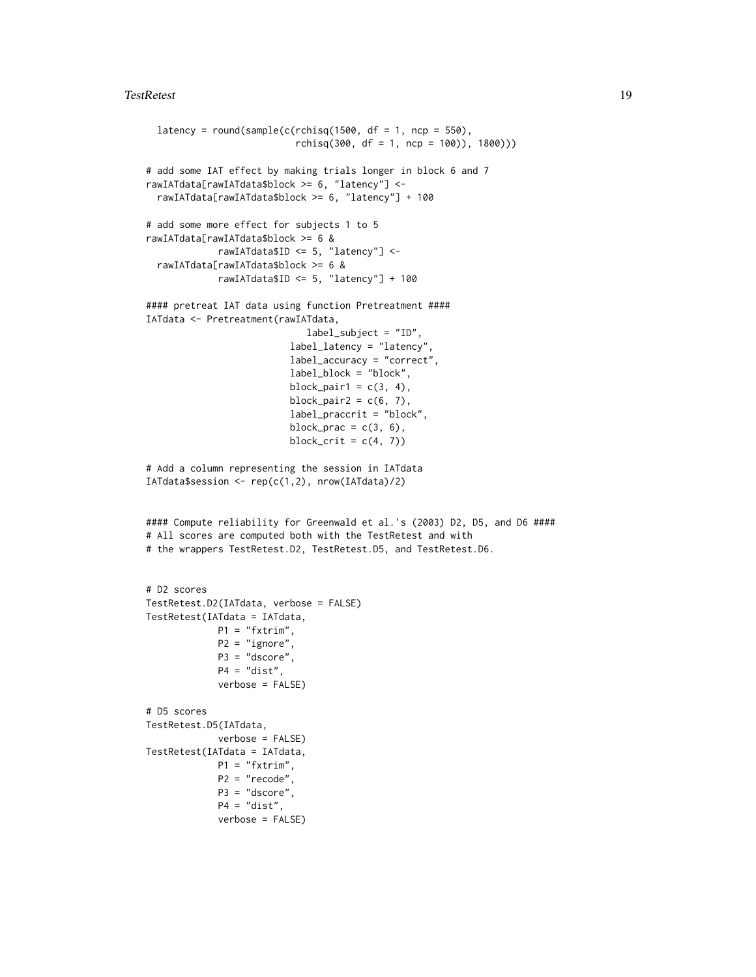```
latency = round(sample(c(rchisq(1500, df = 1, ncp = 550),
                           rchisq(300, df = 1, ncp = 100), 1800))
# add some IAT effect by making trials longer in block 6 and 7
rawIATdata[rawIATdata$block >= 6, "latency"] <-
 rawIATdata[rawIATdata$block >= 6, "latency"] + 100
# add some more effect for subjects 1 to 5
rawIATdata[rawIATdata$block >= 6 &
             rawIATdata$ID <= 5, "latency"] <-
 rawIATdata[rawIATdata$block >= 6 &
             rawIATdata$ID <= 5, "latency"] + 100
#### pretreat IAT data using function Pretreatment ####
IATdata <- Pretreatment(rawIATdata,
                             label_subject = "ID",
                          label_latency = "latency",
                          label_accuracy = "correct",
                          label_block = "block",
                          block_pair1 = c(3, 4),
                          block_pair2 = c(6, 7),
                          label_praccrit = "block",
                          block_prac = c(3, 6),
                          block_crit = c(4, 7))
# Add a column representing the session in IATdata
IATdata$session <- rep(c(1,2)), nrow(IATdata)/2)
#### Compute reliability for Greenwald et al.'s (2003) D2, D5, and D6 ####
# All scores are computed both with the TestRetest and with
# the wrappers TestRetest.D2, TestRetest.D5, and TestRetest.D6.
# D2 scores
TestRetest.D2(IATdata, verbose = FALSE)
TestRetest(IATdata = IATdata,
            P1 = "fxtrim",P2 = "ignore",
            P3 = "dscore",
             P4 = "dist",verbose = FALSE)
# D5 scores
TestRetest.D5(IATdata,
            verbose = FALSE)
TestRetest(IATdata = IATdata,
            P1 = "fxtrim",P2 = "recode",
             P3 = "dscore",
             P4 = "dist",verbose = FALSE)
```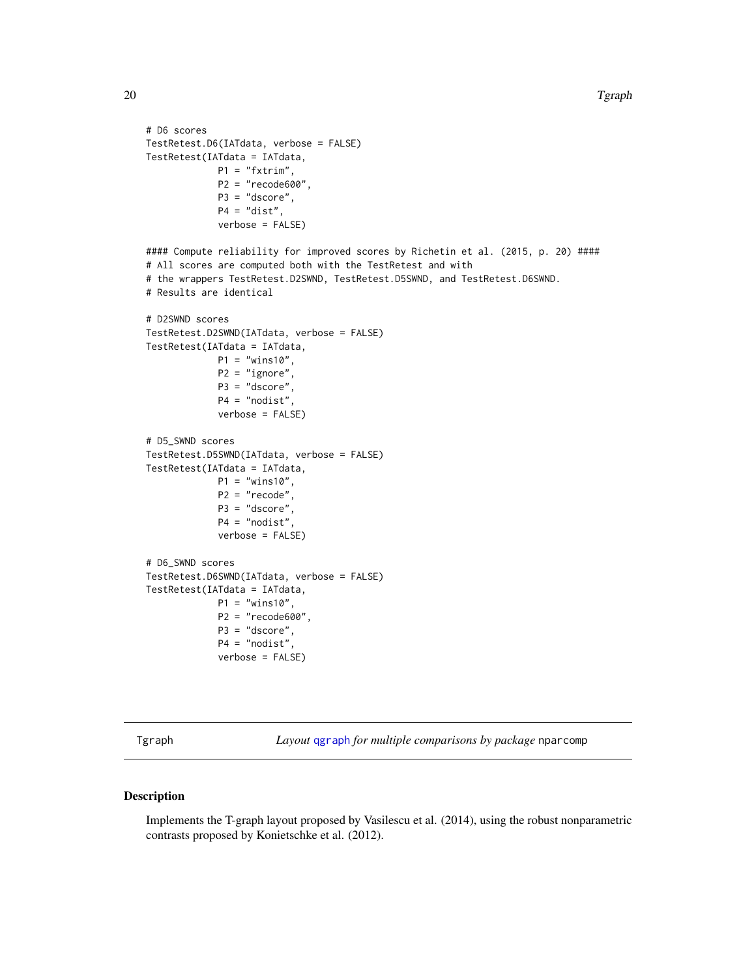```
# D6 scores
TestRetest.D6(IATdata, verbose = FALSE)
TestRetest(IATdata = IATdata,
             P1 = "fxtrim",P2 = "recode600",
             P3 = "dscore",
             P4 = "dist",verbose = FALSE)
#### Compute reliability for improved scores by Richetin et al. (2015, p. 20) ####
# All scores are computed both with the TestRetest and with
# the wrappers TestRetest.D2SWND, TestRetest.D5SWND, and TestRetest.D6SWND.
# Results are identical
# D2SWND scores
TestRetest.D2SWND(IATdata, verbose = FALSE)
TestRetest(IATdata = IATdata,
             P1 = "wins10",P2 = "ignore",
             P3 = "dscore",
             P4 = "nodist",
             verbose = FALSE)
# D5_SWND scores
TestRetest.D5SWND(IATdata, verbose = FALSE)
TestRetest(IATdata = IATdata,
             P1 = "wins10",P2 = "recode",
             P3 = "dscore",
             P4 = "nodist",verbose = FALSE)
# D6_SWND scores
TestRetest.D6SWND(IATdata, verbose = FALSE)
TestRetest(IATdata = IATdata,
             P1 = "wins10",
             P2 = "recode600",
             P3 = "dscore",
             P4 = "nodist",
             verbose = FALSE)
```
Tgraph *Layout* [qgraph](#page-0-0) *for multiple comparisons by package* nparcomp

#### Description

Implements the T-graph layout proposed by Vasilescu et al. (2014), using the robust nonparametric contrasts proposed by Konietschke et al. (2012).

<span id="page-19-0"></span>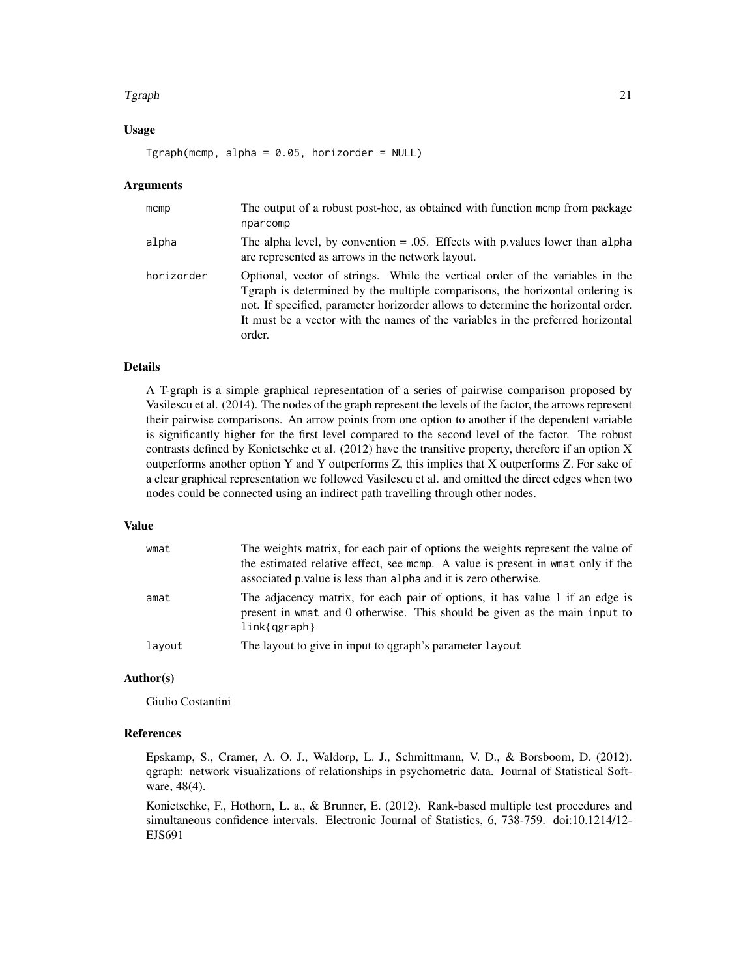#### Tgraph 21

#### Usage

 $Tgraph(mcmp, alpha = 0.05, horizonder = NULL)$ 

#### Arguments

| $m$ cmp    | The output of a robust post-hoc, as obtained with function memp from package<br>nparcomp                                                                                                                                                                                                                                                        |
|------------|-------------------------------------------------------------------------------------------------------------------------------------------------------------------------------------------------------------------------------------------------------------------------------------------------------------------------------------------------|
| alpha      | The alpha level, by convention $= .05$ . Effects with p values lower than alpha<br>are represented as arrows in the network layout.                                                                                                                                                                                                             |
| horizorder | Optional, vector of strings. While the vertical order of the variables in the<br>Tgraph is determined by the multiple comparisons, the horizontal ordering is<br>not. If specified, parameter horizorder allows to determine the horizontal order.<br>It must be a vector with the names of the variables in the preferred horizontal<br>order. |

#### Details

A T-graph is a simple graphical representation of a series of pairwise comparison proposed by Vasilescu et al. (2014). The nodes of the graph represent the levels of the factor, the arrows represent their pairwise comparisons. An arrow points from one option to another if the dependent variable is significantly higher for the first level compared to the second level of the factor. The robust contrasts defined by Konietschke et al. (2012) have the transitive property, therefore if an option X outperforms another option Y and Y outperforms Z, this implies that X outperforms Z. For sake of a clear graphical representation we followed Vasilescu et al. and omitted the direct edges when two nodes could be connected using an indirect path travelling through other nodes.

#### Value

| wmat   | The weights matrix, for each pair of options the weights represent the value of<br>the estimated relative effect, see mcmp. A value is present in wmat only if the<br>associated p value is less than a lpha and it is zero otherwise. |
|--------|----------------------------------------------------------------------------------------------------------------------------------------------------------------------------------------------------------------------------------------|
| amat   | The adjacency matrix, for each pair of options, it has value 1 if an edge is<br>present in wmat and 0 otherwise. This should be given as the main input to<br>$link{graph}$                                                            |
| layout | The layout to give in input to qgraph's parameter layout                                                                                                                                                                               |

## Author(s)

Giulio Costantini

## References

Epskamp, S., Cramer, A. O. J., Waldorp, L. J., Schmittmann, V. D., & Borsboom, D. (2012). qgraph: network visualizations of relationships in psychometric data. Journal of Statistical Software, 48(4).

Konietschke, F., Hothorn, L. a., & Brunner, E. (2012). Rank-based multiple test procedures and simultaneous confidence intervals. Electronic Journal of Statistics, 6, 738-759. doi:10.1214/12- EJS691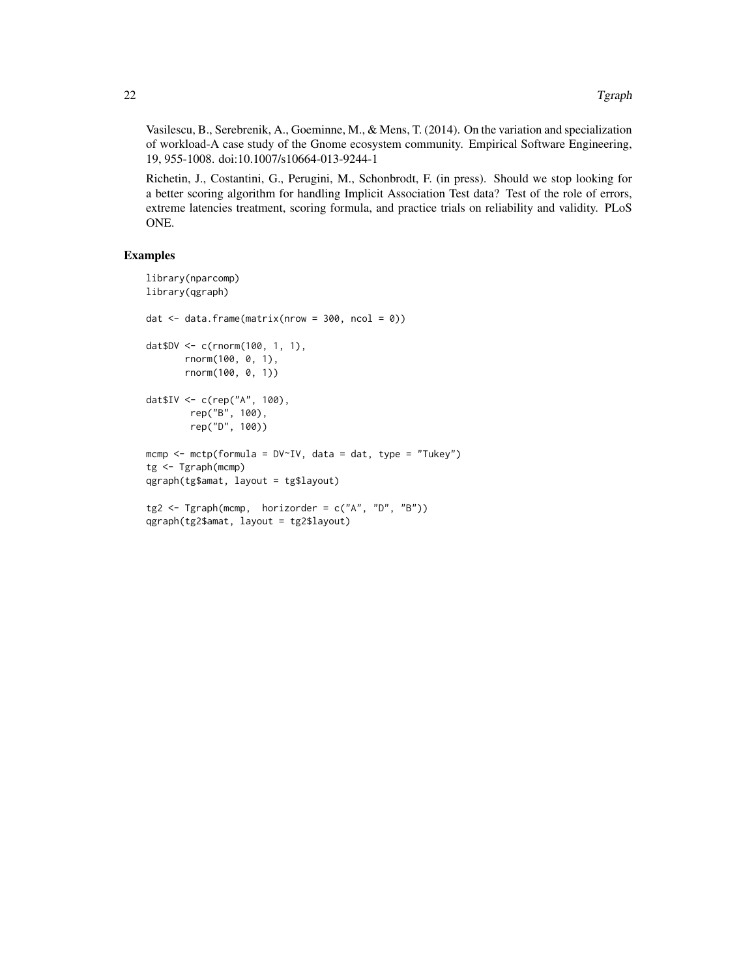Vasilescu, B., Serebrenik, A., Goeminne, M., & Mens, T. (2014). On the variation and specialization of workload-A case study of the Gnome ecosystem community. Empirical Software Engineering, 19, 955-1008. doi:10.1007/s10664-013-9244-1

Richetin, J., Costantini, G., Perugini, M., Schonbrodt, F. (in press). Should we stop looking for a better scoring algorithm for handling Implicit Association Test data? Test of the role of errors, extreme latencies treatment, scoring formula, and practice trials on reliability and validity. PLoS ONE.

```
library(nparcomp)
library(qgraph)
dat \le- data.frame(matrix(nrow = 300, ncol = 0))
dat$DV <- c(rnorm(100, 1, 1),
       rnorm(100, 0, 1),
       rnorm(100, 0, 1))
dat$IV <- c(rep("A", 100),
        rep("B", 100),
        rep("D", 100))
mcmp <- mctp(formula = DV~IV, data = dat, type = "Tukey")
tg <- Tgraph(mcmp)
qgraph(tg$amat, layout = tg$layout)
tg2 <- Tgraph(mcmp, horizorder = c("A", "D", "B"))
qgraph(tg2$amat, layout = tg2$layout)
```